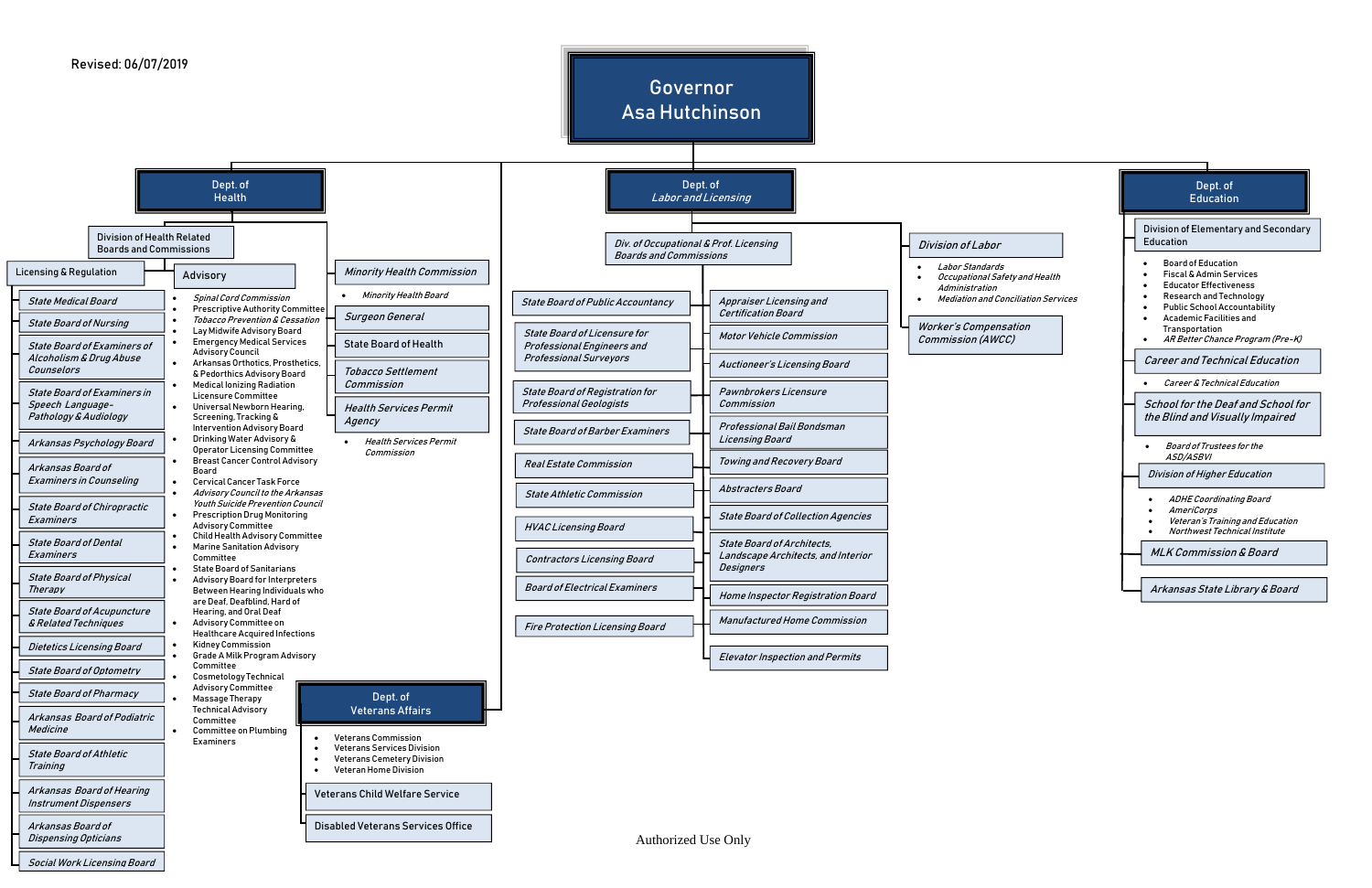Authorized Use Only





Social Work Licensing Board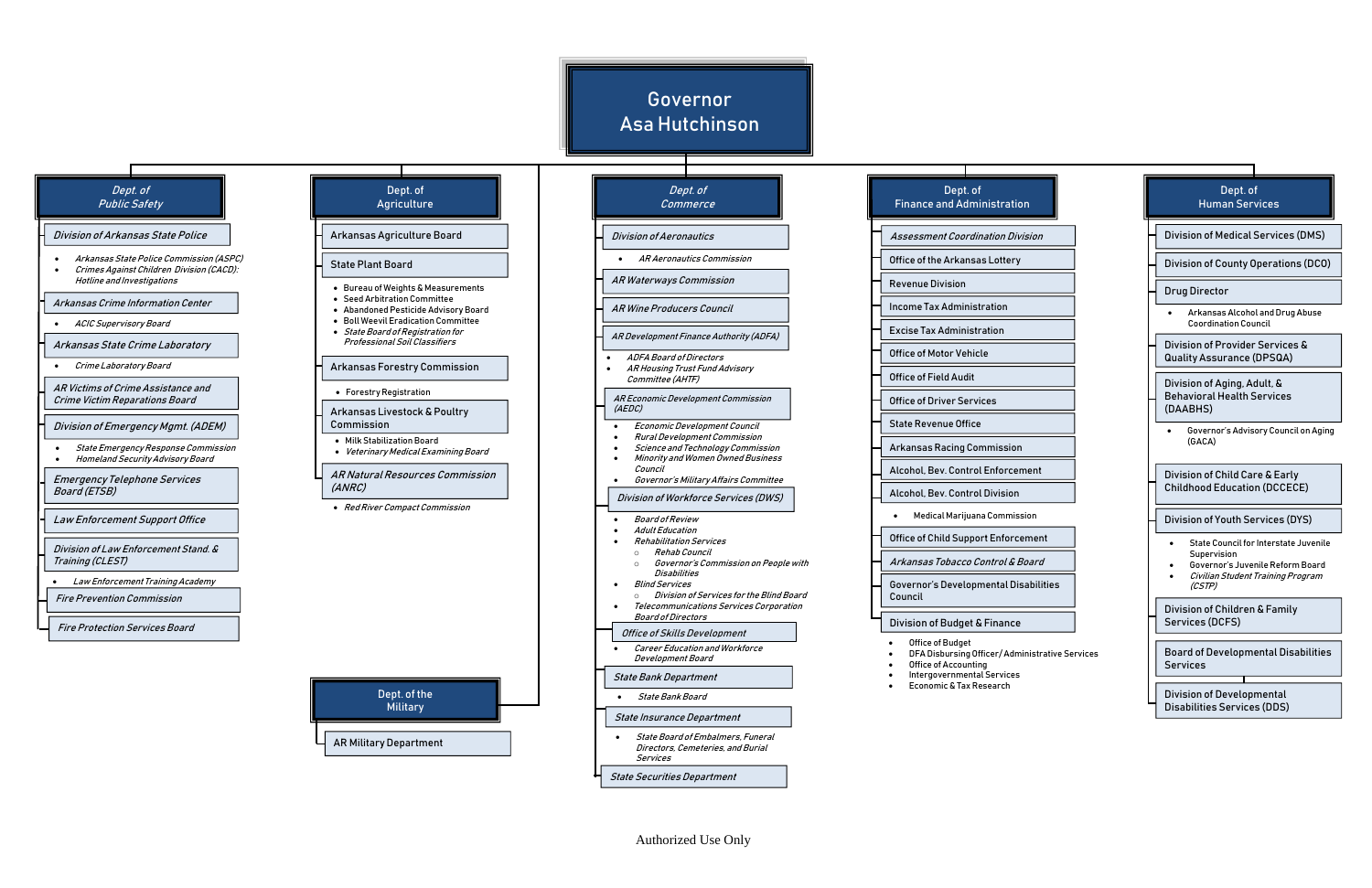# Governor Asa Hutchinson

| ion                         |  | Dept. of<br><b>Human Services</b>                                                               |
|-----------------------------|--|-------------------------------------------------------------------------------------------------|
| livision                    |  | <b>Division of Medical Services (DMS)</b>                                                       |
| ٠y                          |  | <b>Division of County Operations (DCO)</b>                                                      |
|                             |  | <b>Drug Director</b>                                                                            |
|                             |  | Arkansas Alcohol and Drug Abuse<br><b>Coordination Council</b>                                  |
|                             |  | Division of Provider Services &<br><b>Quality Assurance (DPSQA)</b>                             |
|                             |  | Division of Aging, Adult, &<br><b>Behavioral Health Services</b><br>(DAABHS)                    |
| วท                          |  | Governor's Advisory Council on Aging<br>(GACA)                                                  |
| ement<br>n                  |  | Division of Child Care & Early<br><b>Childhood Education (DCCECE)</b>                           |
| ission                      |  | <b>Division of Youth Services (DYS)</b>                                                         |
| cement<br><i>Board</i>      |  | <b>State Council for Interstate Juvenile</b><br>Supervision<br>Governor's Juvenile Reform Board |
| )isabilities                |  | Civilian Student Training Program<br>(CSTP)                                                     |
| e:                          |  | Division of Children & Family<br>Services (DCFS)                                                |
| ministrative Services<br>.s |  | <b>Board of Developmental Disabilities</b><br>Services                                          |
|                             |  | <b>Division of Developmental</b><br><b>Disabilities Services (DDS)</b>                          |

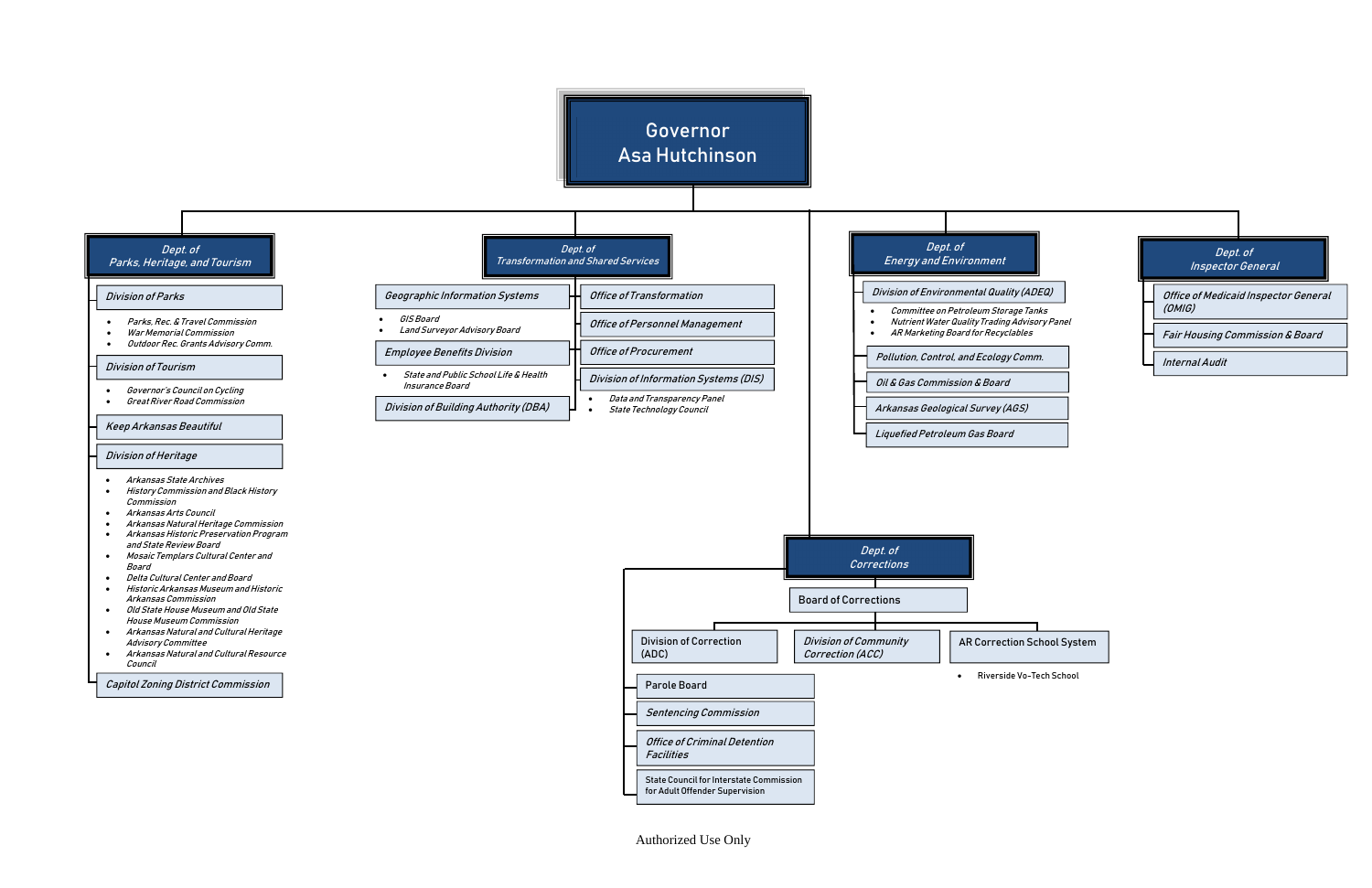## Authorized Use Only

- Parks, Rec. & Travel Commission
- War Memorial Commission
- Outdoor Rec. Grants Advisory Comm.

#### Division of Tourism



Governor

Asa Hutchinson

Capitol Zoning District Commission

 Governor's Council on Cycling Great River Road Commission

### Keep Arkansas Beautiful

### Division of Heritage



Riverside Vo-Tech School

Sentencing Commission

Office of Criminal Detention

Facilities

Parole Board

State Council for Interstate Commission for Adult Offender Supervision

- Arkansas State Archives
- History Commission and Black History Commission
- Arkansas Arts Council
- Arkansas Natural Heritage Commission
- Arkansas Historic Preservation Program and State Review Board
- Mosaic Templars Cultural Center and Board
- Delta Cultural Center and Board
- Historic Arkansas Museum and Historic Arkansas Commission
- Old State House Museum and Old State House Museum Commission
- Arkansas Natural and Cultural Heritage Advisory Committee
- Arkansas Natural and Cultural Resource Council